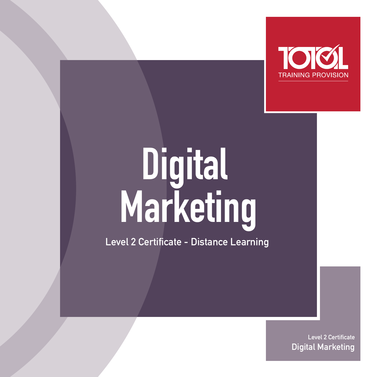

# **Digital Marketing**

**Level 2 Certificate - Distance Learning** 

**Level 2 Certificate Digital Marketing**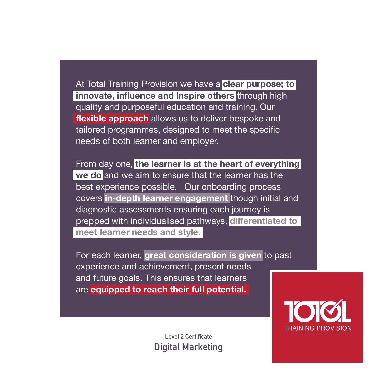At Total Training Provision we have a **clear purpose; to innovate, influence and Inspire others** through high quality and purposeful education and training. Our **flexible approach** allows us to deliver bespoke and tailored programmes, designed to meet the specific needs of both learner and employer.

From day one, **the learner is at the heart of everything we do** and we aim to ensure that the learner has the best experience possible. Our onboarding process covers **in-depth learner engagement** though initial and diagnostic assessments ensuring each journey is prepped with individualised pathways, **differentiated to meet learner needs and style.**

For each learner, **great consideration is given** to past experience and achievement, present needs and future goals. This ensures that learners are **equipped to reach their full potential.**

> **Level 2 Certificate Digital Marketing**

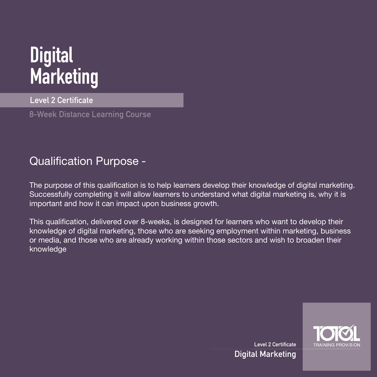# **Digital Marketing**

**Level 2 Certificate** 

**8-Week Distance Learning Course** 

### Qualification Purpose -

The purpose of this qualification is to help learners develop their knowledge of digital marketing. Successfully completing it will allow learners to understand what digital marketing is, why it is important and how it can impact upon business growth.

This qualification, delivered over 8-weeks, is designed for learners who want to develop their knowledge of digital marketing, those who are seeking employment within marketing, business or media, and those who are already working within those sectors and wish to broaden their knowledge



**Level 2 Certificate Digital Marketing**